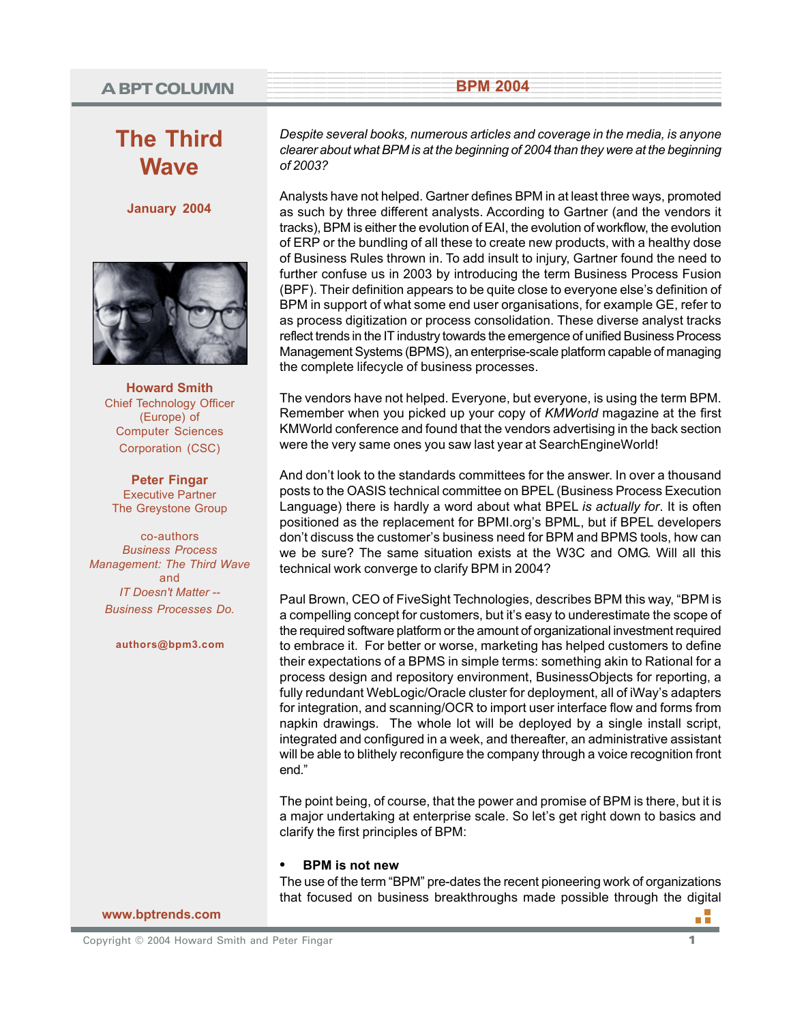## <sup>1</sup> <sup>9</sup> **A BPT COLUMN**

# **The Third Wave**

**January 2004**



**Howard Smith** Chief Technology Officer (Europe) of Computer Sciences Corporation (CSC)

**Peter Fingar** Executive Partner The Greystone Group

co-authors *Business Process Management: The Third Wave* and *IT Doesn't Matter -- Business Processes Do.*

**authors@bpm3.com**

*Despite several books, numerous articles and coverage in the media, is anyone clearer about what BPM is at the beginning of 2004 than they were at the beginning of 2003?*

**EXAMPLE 2004 BPM 2004** 

Analysts have not helped. Gartner defines BPM in at least three ways, promoted as such by three different analysts. According to Gartner (and the vendors it tracks), BPM is either the evolution of EAI, the evolution of workflow, the evolution of ERP or the bundling of all these to create new products, with a healthy dose of Business Rules thrown in. To add insult to injury, Gartner found the need to further confuse us in 2003 by introducing the term Business Process Fusion (BPF). Their definition appears to be quite close to everyone else's definition of BPM in support of what some end user organisations, for example GE, refer to as process digitization or process consolidation. These diverse analyst tracks reflect trends in the IT industry towards the emergence of unified Business Process Management Systems (BPMS), an enterprise-scale platform capable of managing the complete lifecycle of business processes.

The vendors have not helped. Everyone, but everyone, is using the term BPM. Remember when you picked up your copy of *KMWorld* magazine at the first KMWorld conference and found that the vendors advertising in the back section were the very same ones you saw last year at SearchEngineWorld!

And don't look to the standards committees for the answer. In over a thousand posts to the OASIS technical committee on BPEL (Business Process Execution Language) there is hardly a word about what BPEL *is actually for*. It is often positioned as the replacement for BPMI.org's BPML, but if BPEL developers don't discuss the customer's business need for BPM and BPMS tools, how can we be sure? The same situation exists at the W3C and OMG. Will all this technical work converge to clarify BPM in 2004?

Paul Brown, CEO of FiveSight Technologies, describes BPM this way, "BPM is a compelling concept for customers, but it's easy to underestimate the scope of the required software platform or the amount of organizational investment required to embrace it. For better or worse, marketing has helped customers to define their expectations of a BPMS in simple terms: something akin to Rational for a process design and repository environment, BusinessObjects for reporting, a fully redundant WebLogic/Oracle cluster for deployment, all of iWay's adapters for integration, and scanning/OCR to import user interface flow and forms from napkin drawings. The whole lot will be deployed by a single install script, integrated and configured in a week, and thereafter, an administrative assistant will be able to blithely reconfigure the company through a voice recognition front end."

The point being, of course, that the power and promise of BPM is there, but it is a major undertaking at enterprise scale. So let's get right down to basics and clarify the first principles of BPM:

#### **• BPM is not new**

The use of the term "BPM" pre-dates the recent pioneering work of organizations that focused on business breakthroughs made possible through the digital

#### **www.bptrends.com**

пĒ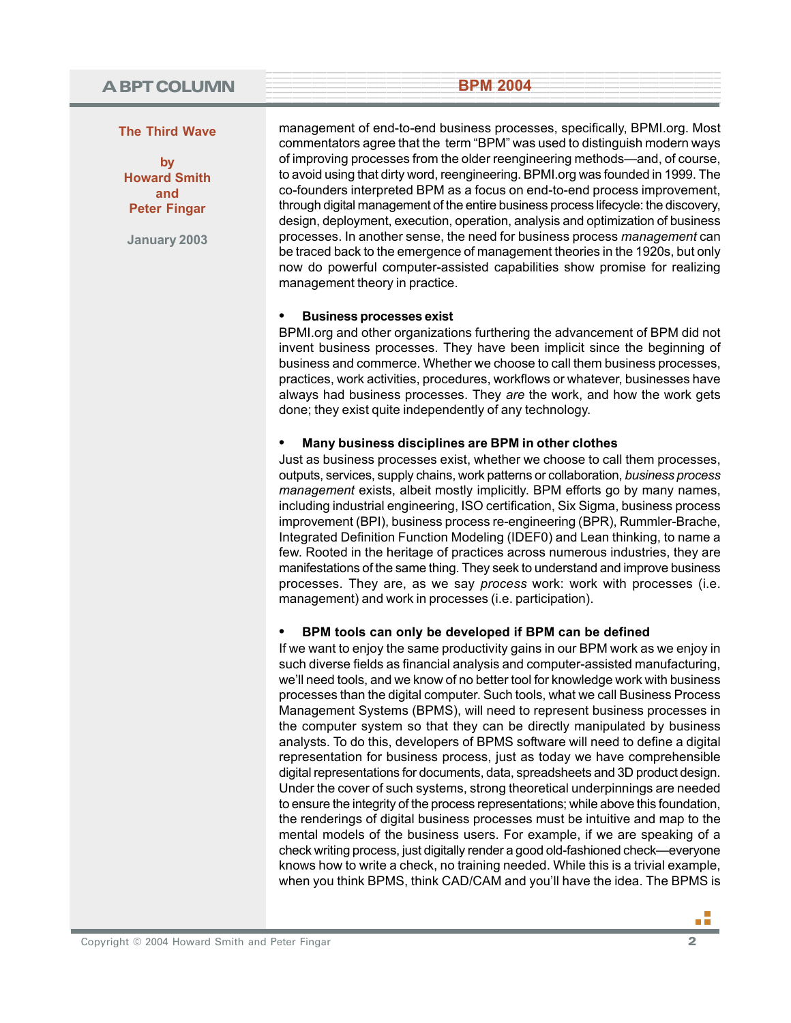### **The Third Wave**

**by Howard Smith and Peter Fingar**

**January 2003**

management of end-to-end business processes, specifically, BPMI.org. Most commentators agree that the term "BPM" was used to distinguish modern ways of improving processes from the older reengineering methods—and, of course, to avoid using that dirty word, reengineering. BPMI.org was founded in 1999. The co-founders interpreted BPM as a focus on end-to-end process improvement, through digital management of the entire business process lifecycle: the discovery, design, deployment, execution, operation, analysis and optimization of business processes. In another sense, the need for business process *management* can be traced back to the emergence of management theories in the 1920s, but only now do powerful computer-assisted capabilities show promise for realizing management theory in practice.

**Example 19 April 2004 BPM 2004** 

#### **• Business processes exist**

BPMI.org and other organizations furthering the advancement of BPM did not invent business processes. They have been implicit since the beginning of business and commerce. Whether we choose to call them business processes, practices, work activities, procedures, workflows or whatever, businesses have always had business processes. They *are* the work, and how the work gets done; they exist quite independently of any technology.

### **• Many business disciplines are BPM in other clothes**

Just as business processes exist, whether we choose to call them processes, outputs, services, supply chains, work patterns or collaboration, *business process management* exists, albeit mostly implicitly. BPM efforts go by many names, including industrial engineering, ISO certification, Six Sigma, business process improvement (BPI), business process re-engineering (BPR), Rummler-Brache, Integrated Definition Function Modeling (IDEF0) and Lean thinking, to name a few. Rooted in the heritage of practices across numerous industries, they are manifestations of the same thing. They seek to understand and improve business processes. They are, as we say *process* work: work with processes (i.e. management) and work in processes (i.e. participation).

## **• BPM tools can only be developed if BPM can be defined**

If we want to enjoy the same productivity gains in our BPM work as we enjoy in such diverse fields as financial analysis and computer-assisted manufacturing, we'll need tools, and we know of no better tool for knowledge work with business processes than the digital computer. Such tools, what we call Business Process Management Systems (BPMS), will need to represent business processes in the computer system so that they can be directly manipulated by business analysts. To do this, developers of BPMS software will need to define a digital representation for business process, just as today we have comprehensible digital representations for documents, data, spreadsheets and 3D product design. Under the cover of such systems, strong theoretical underpinnings are needed to ensure the integrity of the process representations; while above this foundation, the renderings of digital business processes must be intuitive and map to the mental models of the business users. For example, if we are speaking of a check writing process, just digitally render a good old-fashioned check—everyone knows how to write a check, no training needed. While this is a trivial example, when you think BPMS, think CAD/CAM and you'll have the idea. The BPMS is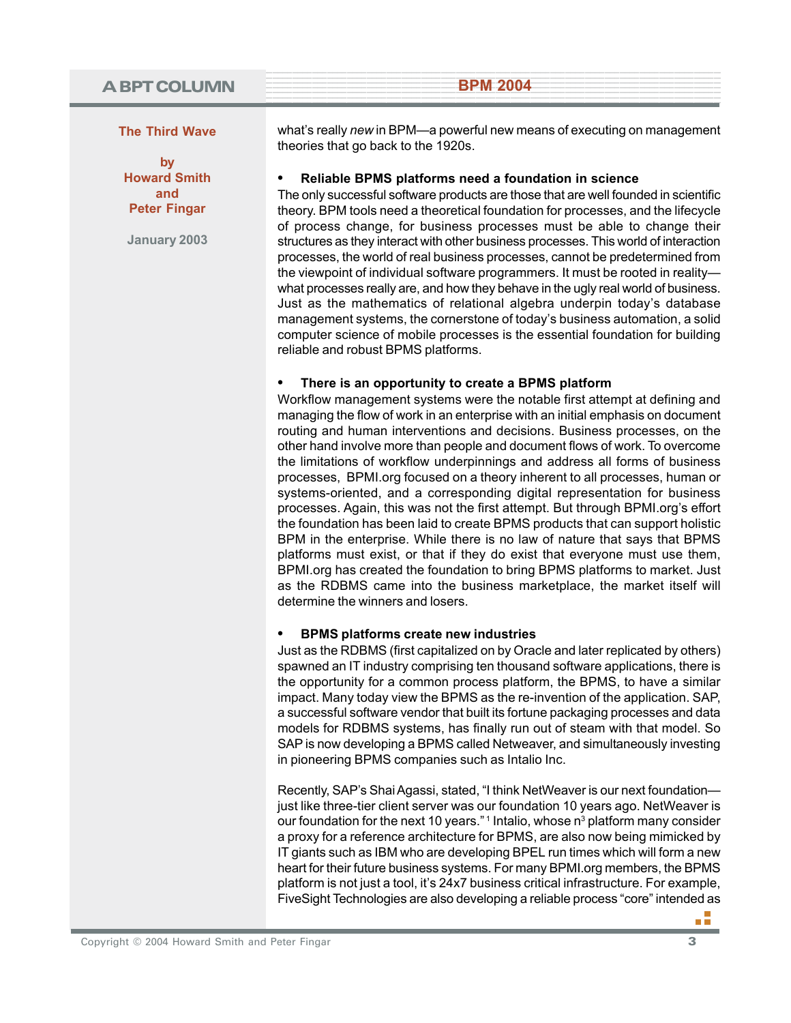**The Third Wave**

**by Howard Smith and Peter Fingar**

**January 2003**

what's really *new* in BPM—a powerful new means of executing on management theories that go back to the 1920s.

**Example 19 April 2004 BPM 2004** 

**• Reliable BPMS platforms need a foundation in science**

The only successful software products are those that are well founded in scientific theory. BPM tools need a theoretical foundation for processes, and the lifecycle of process change, for business processes must be able to change their structures as they interact with other business processes. This world of interaction processes, the world of real business processes, cannot be predetermined from the viewpoint of individual software programmers. It must be rooted in reality what processes really are, and how they behave in the ugly real world of business. Just as the mathematics of relational algebra underpin today's database management systems, the cornerstone of today's business automation, a solid computer science of mobile processes is the essential foundation for building reliable and robust BPMS platforms.

### **• There is an opportunity to create a BPMS platform**

Workflow management systems were the notable first attempt at defining and managing the flow of work in an enterprise with an initial emphasis on document routing and human interventions and decisions. Business processes, on the other hand involve more than people and document flows of work. To overcome the limitations of workflow underpinnings and address all forms of business processes, BPMI.org focused on a theory inherent to all processes, human or systems-oriented, and a corresponding digital representation for business processes. Again, this was not the first attempt. But through BPMI.org's effort the foundation has been laid to create BPMS products that can support holistic BPM in the enterprise. While there is no law of nature that says that BPMS platforms must exist, or that if they do exist that everyone must use them, BPMI.org has created the foundation to bring BPMS platforms to market. Just as the RDBMS came into the business marketplace, the market itself will determine the winners and losers.

#### **• BPMS platforms create new industries**

Just as the RDBMS (first capitalized on by Oracle and later replicated by others) spawned an IT industry comprising ten thousand software applications, there is the opportunity for a common process platform, the BPMS, to have a similar impact. Many today view the BPMS as the re-invention of the application. SAP, a successful software vendor that built its fortune packaging processes and data models for RDBMS systems, has finally run out of steam with that model. So SAP is now developing a BPMS called Netweaver, and simultaneously investing in pioneering BPMS companies such as Intalio Inc.

Recently, SAP's Shai Agassi, stated, "I think NetWeaver is our next foundation just like three-tier client server was our foundation 10 years ago. NetWeaver is our foundation for the next 10 years."<sup>1</sup> Intalio, whose n<sup>3</sup> platform many consider a proxy for a reference architecture for BPMS, are also now being mimicked by IT giants such as IBM who are developing BPEL run times which will form a new heart for their future business systems. For many BPMI.org members, the BPMS platform is not just a tool, it's 24x7 business critical infrastructure. For example, FiveSight Technologies are also developing a reliable process "core" intended as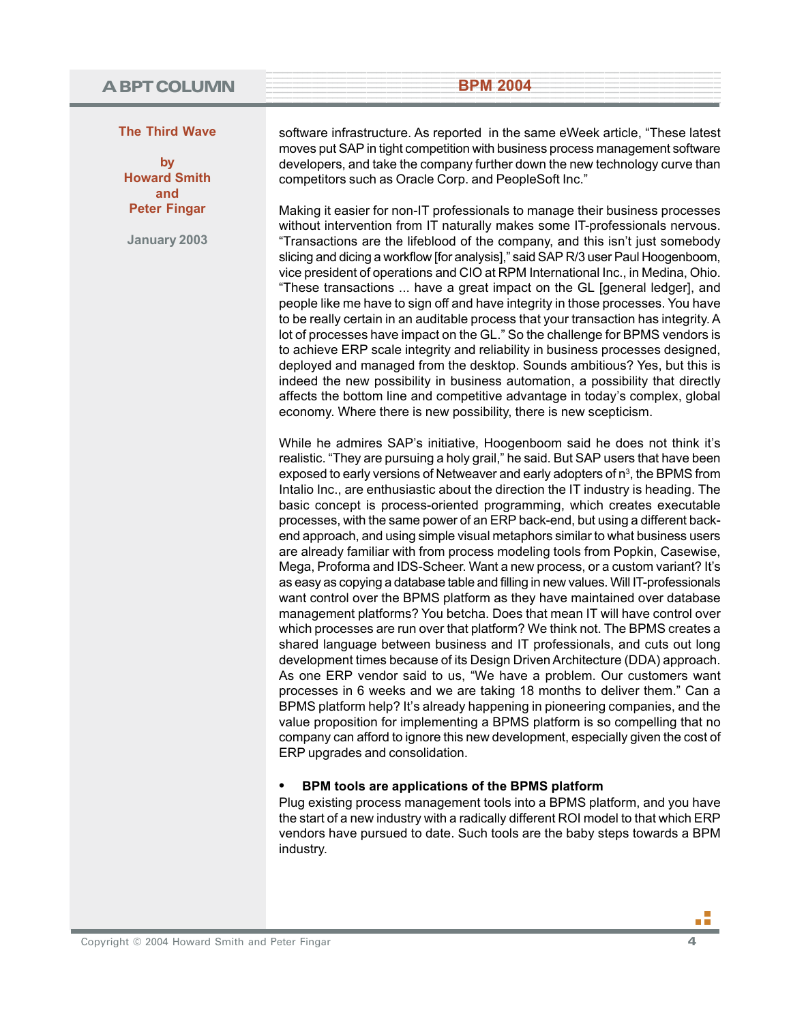### **The Third Wave**

**by Howard Smith and Peter Fingar**

**January 2003**

software infrastructure. As reported in the same eWeek article, "These latest moves put SAP in tight competition with business process management software developers, and take the company further down the new technology curve than competitors such as Oracle Corp. and PeopleSoft Inc."

**Example 19 April 2004 BPM 2004** 

Making it easier for non-IT professionals to manage their business processes without intervention from IT naturally makes some IT-professionals nervous. "Transactions are the lifeblood of the company, and this isn't just somebody slicing and dicing a workflow [for analysis]," said SAP R/3 user Paul Hoogenboom, vice president of operations and CIO at RPM International Inc., in Medina, Ohio. "These transactions ... have a great impact on the GL [general ledger], and people like me have to sign off and have integrity in those processes. You have to be really certain in an auditable process that your transaction has integrity. A lot of processes have impact on the GL." So the challenge for BPMS vendors is to achieve ERP scale integrity and reliability in business processes designed, deployed and managed from the desktop. Sounds ambitious? Yes, but this is indeed the new possibility in business automation, a possibility that directly affects the bottom line and competitive advantage in today's complex, global economy. Where there is new possibility, there is new scepticism.

While he admires SAP's initiative, Hoogenboom said he does not think it's realistic. "They are pursuing a holy grail," he said. But SAP users that have been exposed to early versions of Netweaver and early adopters of  $n^3$ , the BPMS from Intalio Inc., are enthusiastic about the direction the IT industry is heading. The basic concept is process-oriented programming, which creates executable processes, with the same power of an ERP back-end, but using a different backend approach, and using simple visual metaphors similar to what business users are already familiar with from process modeling tools from Popkin, Casewise, Mega, Proforma and IDS-Scheer. Want a new process, or a custom variant? It's as easy as copying a database table and filling in new values. Will IT-professionals want control over the BPMS platform as they have maintained over database management platforms? You betcha. Does that mean IT will have control over which processes are run over that platform? We think not. The BPMS creates a shared language between business and IT professionals, and cuts out long development times because of its Design Driven Architecture (DDA) approach. As one ERP vendor said to us, "We have a problem. Our customers want processes in 6 weeks and we are taking 18 months to deliver them." Can a BPMS platform help? It's already happening in pioneering companies, and the value proposition for implementing a BPMS platform is so compelling that no company can afford to ignore this new development, especially given the cost of ERP upgrades and consolidation.

#### **• BPM tools are applications of the BPMS platform**

Plug existing process management tools into a BPMS platform, and you have the start of a new industry with a radically different ROI model to that which ERP vendors have pursued to date. Such tools are the baby steps towards a BPM industry.

Copyright © 2004 Howard Smith and Peter Fingar **4**

пñ